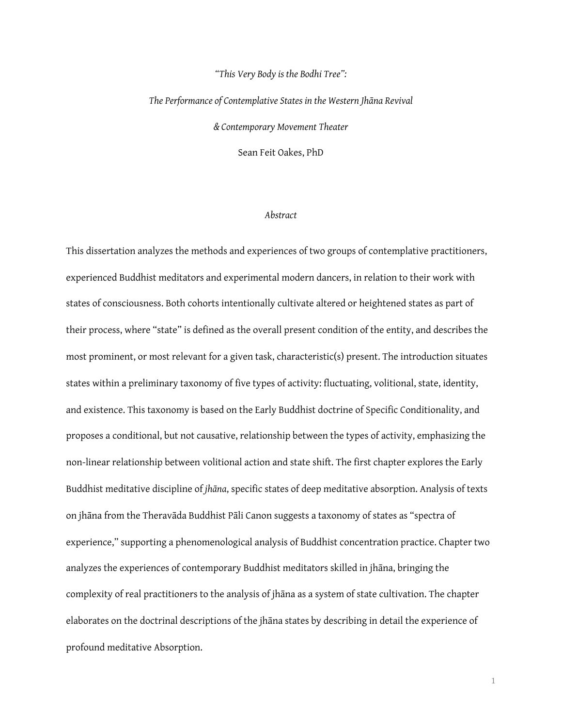## *"This Very Body is the Bodhi Tree":*

*The Performance of Contemplative States in the Western Jhāna Revival & Contemporary Movement Theater* Sean Feit Oakes, PhD

## *Abstract*

This dissertation analyzes the methods and experiences of two groups of contemplative practitioners, experienced Buddhist meditators and experimental modern dancers, in relation to their work with states of consciousness. Both cohorts intentionally cultivate altered or heightened states as part of their process, where "state" is defned as the overall present condition of the entity, and describes the most prominent, or most relevant for a given task, characteristic(s) present. The introduction situates states within a preliminary taxonomy of five types of activity: fluctuating, volitional, state, identity, and existence. This taxonomy is based on the Early Buddhist doctrine of Specifc Conditionality, and proposes a conditional, but not causative, relationship between the types of activity, emphasizing the non-linear relationship between volitional action and state shift. The frst chapter explores the Early Buddhist meditative discipline of *jhāna*, specific states of deep meditative absorption. Analysis of texts on jhāna from the Theravāda Buddhist Pāli Canon suggests a taxonomy of states as "spectra of experience," supporting a phenomenological analysis of Buddhist concentration practice. Chapter two analyzes the experiences of contemporary Buddhist meditators skilled in jhāna, bringing the complexity of real practitioners to the analysis of jhāna as a system of state cultivation. The chapter elaborates on the doctrinal descriptions of the jhāna states by describing in detail the experience of profound meditative Absorption.

1